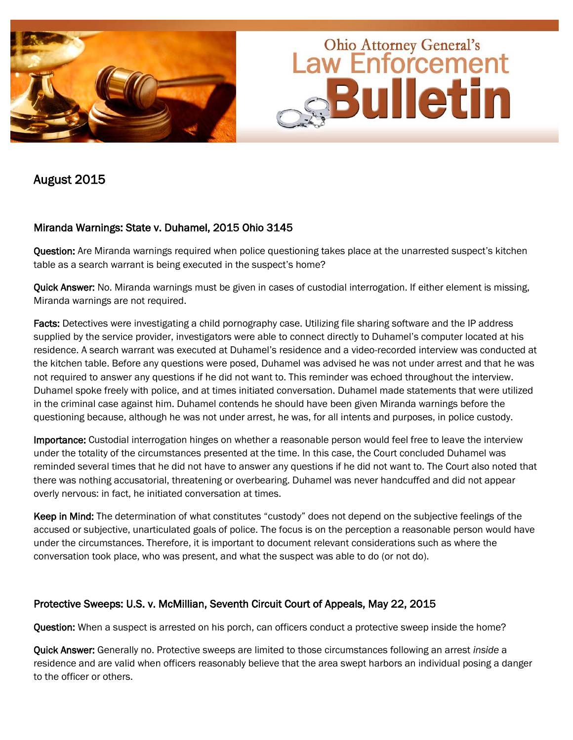

August 2015

## Miranda Warnings: State v. Duhamel, 2015 Ohio 3145

Question: Are Miranda warnings required when police questioning takes place at the unarrested suspect's kitchen table as a search warrant is being executed in the suspect's home?

Quick Answer: No. Miranda warnings must be given in cases of custodial interrogation. If either element is missing, Miranda warnings are not required.

Facts: Detectives were investigating a child pornography case. Utilizing file sharing software and the IP address supplied by the service provider, investigators were able to connect directly to Duhamel's computer located at his residence. A search warrant was executed at Duhamel's residence and a video-recorded interview was conducted at the kitchen table. Before any questions were posed, Duhamel was advised he was not under arrest and that he was not required to answer any questions if he did not want to. This reminder was echoed throughout the interview. Duhamel spoke freely with police, and at times initiated conversation. Duhamel made statements that were utilized in the criminal case against him. Duhamel contends he should have been given Miranda warnings before the questioning because, although he was not under arrest, he was, for all intents and purposes, in police custody.

Importance: Custodial interrogation hinges on whether a reasonable person would feel free to leave the interview under the totality of the circumstances presented at the time. In this case, the Court concluded Duhamel was reminded several times that he did not have to answer any questions if he did not want to. The Court also noted that there was nothing accusatorial, threatening or overbearing. Duhamel was never handcuffed and did not appear overly nervous: in fact, he initiated conversation at times.

Keep in Mind: The determination of what constitutes "custody" does not depend on the subjective feelings of the accused or subjective, unarticulated goals of police. The focus is on the perception a reasonable person would have under the circumstances. Therefore, it is important to document relevant considerations such as where the conversation took place, who was present, and what the suspect was able to do (or not do).

## Protective Sweeps: U.S. v. McMillian, Seventh Circuit Court of Appeals, May 22, 2015

Question: When a suspect is arrested on his porch, can officers conduct a protective sweep inside the home?

Quick Answer: Generally no. Protective sweeps are limited to those circumstances following an arrest *inside* a residence and are valid when officers reasonably believe that the area swept harbors an individual posing a danger to the officer or others.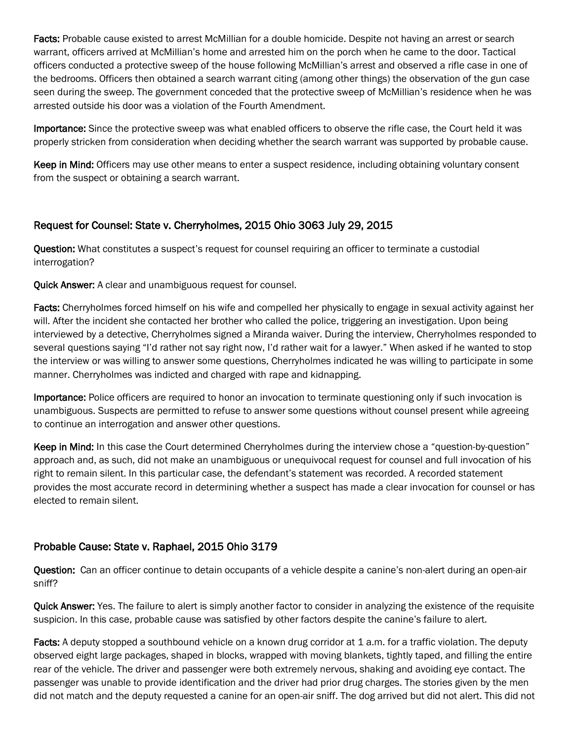Facts: Probable cause existed to arrest McMillian for a double homicide. Despite not having an arrest or search warrant, officers arrived at McMillian's home and arrested him on the porch when he came to the door. Tactical officers conducted a protective sweep of the house following McMillian's arrest and observed a rifle case in one of the bedrooms. Officers then obtained a search warrant citing (among other things) the observation of the gun case seen during the sweep. The government conceded that the protective sweep of McMillian's residence when he was arrested outside his door was a violation of the Fourth Amendment.

Importance: Since the protective sweep was what enabled officers to observe the rifle case, the Court held it was properly stricken from consideration when deciding whether the search warrant was supported by probable cause.

Keep in Mind: Officers may use other means to enter a suspect residence, including obtaining voluntary consent from the suspect or obtaining a search warrant.

## Request for Counsel: State v. Cherryholmes, 2015 Ohio 3063 July 29, 2015

Question: What constitutes a suspect's request for counsel requiring an officer to terminate a custodial interrogation?

Quick Answer: A clear and unambiguous request for counsel.

Facts: Cherryholmes forced himself on his wife and compelled her physically to engage in sexual activity against her will. After the incident she contacted her brother who called the police, triggering an investigation. Upon being interviewed by a detective, Cherryholmes signed a Miranda waiver. During the interview, Cherryholmes responded to several questions saying "I'd rather not say right now, I'd rather wait for a lawyer." When asked if he wanted to stop the interview or was willing to answer some questions, Cherryholmes indicated he was willing to participate in some manner. Cherryholmes was indicted and charged with rape and kidnapping.

Importance: Police officers are required to honor an invocation to terminate questioning only if such invocation is unambiguous. Suspects are permitted to refuse to answer some questions without counsel present while agreeing to continue an interrogation and answer other questions.

Keep in Mind: In this case the Court determined Cherryholmes during the interview chose a "question-by-question" approach and, as such, did not make an unambiguous or unequivocal request for counsel and full invocation of his right to remain silent. In this particular case, the defendant's statement was recorded. A recorded statement provides the most accurate record in determining whether a suspect has made a clear invocation for counsel or has elected to remain silent.

## Probable Cause: State v. Raphael, 2015 Ohio 3179

Question: Can an officer continue to detain occupants of a vehicle despite a canine's non-alert during an open-air sniff?

Quick Answer: Yes. The failure to alert is simply another factor to consider in analyzing the existence of the requisite suspicion. In this case, probable cause was satisfied by other factors despite the canine's failure to alert.

Facts: A deputy stopped a southbound vehicle on a known drug corridor at 1 a.m. for a traffic violation. The deputy observed eight large packages, shaped in blocks, wrapped with moving blankets, tightly taped, and filling the entire rear of the vehicle. The driver and passenger were both extremely nervous, shaking and avoiding eye contact. The passenger was unable to provide identification and the driver had prior drug charges. The stories given by the men did not match and the deputy requested a canine for an open-air sniff. The dog arrived but did not alert. This did not